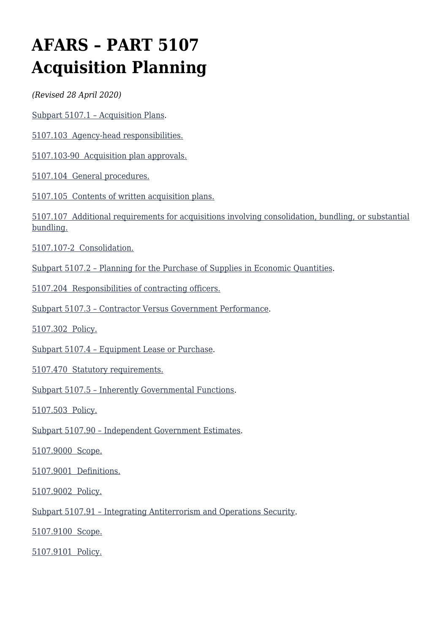# **AFARS – PART 5107 Acquisition Planning**

*(Revised 28 April 2020)*

[Subpart 5107.1 – Acquisition Plans.](#page--1-0)

[5107.103 Agency-head responsibilities.](#page--1-0)

[5107.103-90 Acquisition plan approvals.](#page--1-0)

[5107.104 General procedures.](#page--1-0)

[5107.105 Contents of written acquisition plans.](#page--1-0)

[5107.107 Additional requirements for acquisitions involving consolidation, bundling, or substantial](#page--1-0) [bundling.](#page--1-0)

[5107.107-2 Consolidation.](#page--1-0)

[Subpart 5107.2 – Planning for the Purchase of Supplies in Economic Quantities.](#page--1-0)

[5107.204 Responsibilities of contracting officers.](#page--1-0)

[Subpart 5107.3 – Contractor Versus Government Performance.](#page--1-0)

[5107.302 Policy.](#page--1-0)

[Subpart 5107.4 – Equipment Lease or Purchase.](#page--1-0)

[5107.470 Statutory requirements.](#page--1-0)

[Subpart 5107.5 – Inherently Governmental Functions](#page--1-0).

[5107.503 Policy.](#page--1-0)

[Subpart 5107.90 – Independent Government Estimates.](#page--1-0)

[5107.9000 Scope.](#page--1-0)

[5107.9001 Definitions.](#page--1-0)

[5107.9002 Policy.](#page--1-0)

[Subpart 5107.91 – Integrating Antiterrorism and Operations Security](#page--1-0).

[5107.9100 Scope.](#page--1-0)

[5107.9101 Policy.](#page--1-0)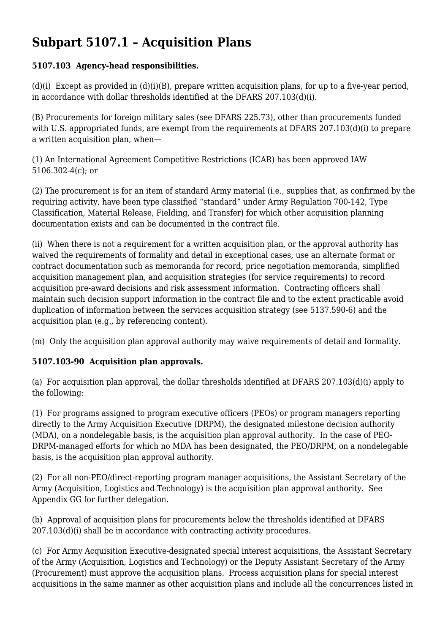# **Subpart 5107.1 – Acquisition Plans**

### **5107.103 Agency-head responsibilities.**

(d)(i) Except as provided in (d)(i)(B), prepare written acquisition plans, for up to a five-year period, in accordance with dollar thresholds identified at the DFARS 207.103(d)(i).

(B) Procurements for foreign military sales (see DFARS 225.73), other than procurements funded with U.S. appropriated funds, are exempt from the requirements at DFARS 207.103(d)(i) to prepare a written acquisition plan, when—

(1) An International Agreement Competitive Restrictions (ICAR) has been approved IAW 5106.302-4(c); or

(2) The procurement is for an item of standard Army material (i.e., supplies that, as confirmed by the requiring activity, have been type classified "standard" under Army Regulation 700-142, Type Classification, Material Release, Fielding, and Transfer) for which other acquisition planning documentation exists and can be documented in the contract file.

(ii) When there is not a requirement for a written acquisition plan, or the approval authority has waived the requirements of formality and detail in exceptional cases, use an alternate format or contract documentation such as memoranda for record, price negotiation memoranda, simplified acquisition management plan, and acquisition strategies (for service requirements) to record acquisition pre-award decisions and risk assessment information. Contracting officers shall maintain such decision support information in the contract file and to the extent practicable avoid duplication of information between the services acquisition strategy (see 5137.590-6) and the acquisition plan (e.g., by referencing content).

(m) Only the acquisition plan approval authority may waive requirements of detail and formality.

### **5107.103-90 Acquisition plan approvals.**

(a) For acquisition plan approval, the dollar thresholds identified at DFARS 207.103(d)(i) apply to the following:

(1) For programs assigned to program executive officers (PEOs) or program managers reporting directly to the Army Acquisition Executive (DRPM), the designated milestone decision authority (MDA), on a nondelegable basis, is the acquisition plan approval authority. In the case of PEO-DRPM-managed efforts for which no MDA has been designated, the PEO/DRPM, on a nondelegable basis, is the acquisition plan approval authority.

(2) For all non-PEO/direct-reporting program manager acquisitions, the Assistant Secretary of the Army (Acquisition, Logistics and Technology) is the acquisition plan approval authority. See Appendix GG for further delegation.

(b) Approval of acquisition plans for procurements below the thresholds identified at DFARS 207.103(d)(i) shall be in accordance with contracting activity procedures.

(c) For Army Acquisition Executive-designated special interest acquisitions, the Assistant Secretary of the Army (Acquisition, Logistics and Technology) or the Deputy Assistant Secretary of the Army (Procurement) must approve the acquisition plans. Process acquisition plans for special interest acquisitions in the same manner as other acquisition plans and include all the concurrences listed in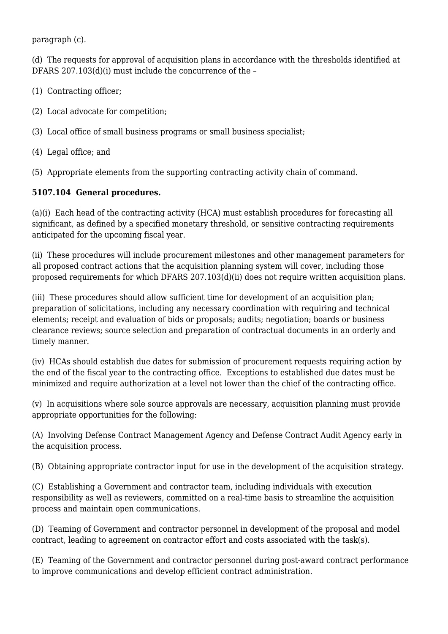paragraph (c).

(d) The requests for approval of acquisition plans in accordance with the thresholds identified at DFARS 207.103(d)(i) must include the concurrence of the –

- (1) Contracting officer;
- (2) Local advocate for competition;
- (3) Local office of small business programs or small business specialist;
- (4) Legal office; and
- (5) Appropriate elements from the supporting contracting activity chain of command.

#### **5107.104 General procedures.**

(a)(i) Each head of the contracting activity (HCA) must establish procedures for forecasting all significant, as defined by a specified monetary threshold, or sensitive contracting requirements anticipated for the upcoming fiscal year.

(ii) These procedures will include procurement milestones and other management parameters for all proposed contract actions that the acquisition planning system will cover, including those proposed requirements for which DFARS 207.103(d)(ii) does not require written acquisition plans.

(iii) These procedures should allow sufficient time for development of an acquisition plan; preparation of solicitations, including any necessary coordination with requiring and technical elements; receipt and evaluation of bids or proposals; audits; negotiation; boards or business clearance reviews; source selection and preparation of contractual documents in an orderly and timely manner.

(iv) HCAs should establish due dates for submission of procurement requests requiring action by the end of the fiscal year to the contracting office. Exceptions to established due dates must be minimized and require authorization at a level not lower than the chief of the contracting office.

(v) In acquisitions where sole source approvals are necessary, acquisition planning must provide appropriate opportunities for the following:

(A) Involving Defense Contract Management Agency and Defense Contract Audit Agency early in the acquisition process.

(B) Obtaining appropriate contractor input for use in the development of the acquisition strategy.

(C) Establishing a Government and contractor team, including individuals with execution responsibility as well as reviewers, committed on a real-time basis to streamline the acquisition process and maintain open communications.

(D) Teaming of Government and contractor personnel in development of the proposal and model contract, leading to agreement on contractor effort and costs associated with the task(s).

(E) Teaming of the Government and contractor personnel during post-award contract performance to improve communications and develop efficient contract administration.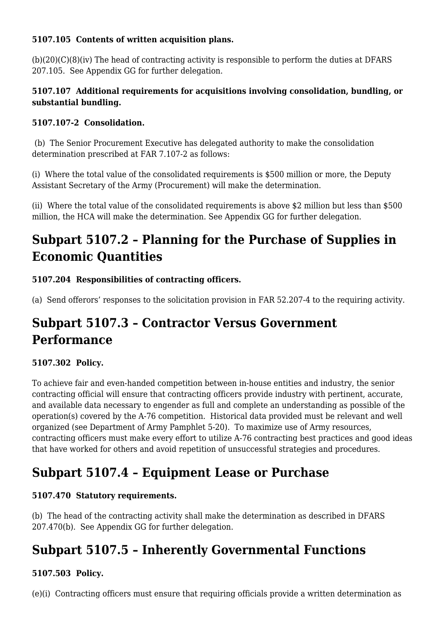#### **5107.105 Contents of written acquisition plans.**

(b)(20)(C)(8)(iv) The head of contracting activity is responsible to perform the duties at DFARS 207.105. See Appendix GG for further delegation.

#### **5107.107 Additional requirements for acquisitions involving consolidation, bundling, or substantial bundling.**

### **5107.107-2 Consolidation.**

(b) The Senior Procurement Executive has delegated authority to make the consolidation determination prescribed at FAR 7.107-2 as follows:

(i) Where the total value of the consolidated requirements is \$500 million or more, the Deputy Assistant Secretary of the Army (Procurement) will make the determination.

(ii) Where the total value of the consolidated requirements is above \$2 million but less than \$500 million, the HCA will make the determination. See Appendix GG for further delegation.

# **Subpart 5107.2 – Planning for the Purchase of Supplies in Economic Quantities**

### **5107.204 Responsibilities of contracting officers.**

(a) Send offerors' responses to the solicitation provision in FAR 52.207-4 to the requiring activity.

# **Subpart 5107.3 – Contractor Versus Government Performance**

### **5107.302 Policy.**

To achieve fair and even-handed competition between in-house entities and industry, the senior contracting official will ensure that contracting officers provide industry with pertinent, accurate, and available data necessary to engender as full and complete an understanding as possible of the operation(s) covered by the A-76 competition. Historical data provided must be relevant and well organized (see Department of Army Pamphlet 5-20). To maximize use of Army resources, contracting officers must make every effort to utilize A-76 contracting best practices and good ideas that have worked for others and avoid repetition of unsuccessful strategies and procedures.

# **Subpart 5107.4 – Equipment Lease or Purchase**

### **5107.470 Statutory requirements.**

(b) The head of the contracting activity shall make the determination as described in DFARS 207.470(b). See Appendix GG for further delegation.

# **Subpart 5107.5 – Inherently Governmental Functions**

### **5107.503 Policy.**

(e)(i) Contracting officers must ensure that requiring officials provide a written determination as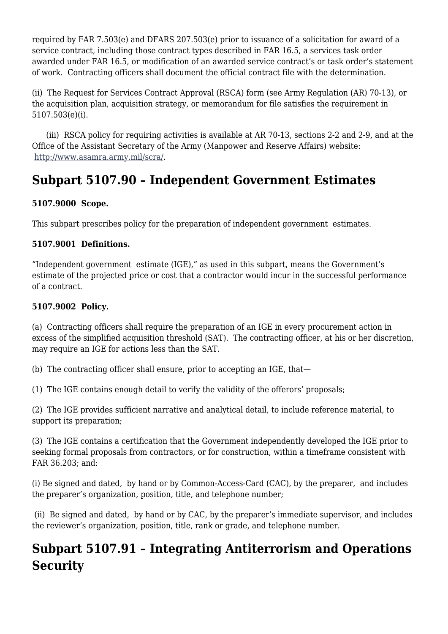required by FAR 7.503(e) and DFARS 207.503(e) prior to issuance of a solicitation for award of a service contract, including those contract types described in FAR 16.5, a services task order awarded under FAR 16.5, or modification of an awarded service contract's or task order's statement of work. Contracting officers shall document the official contract file with the determination.

(ii) The Request for Services Contract Approval (RSCA) form (see Army Regulation (AR) 70-13), or the acquisition plan, acquisition strategy, or memorandum for file satisfies the requirement in 5107.503(e)(i).

 (iii) RSCA policy for requiring activities is available at AR 70-13, sections 2-2 and 2-9, and at the Office of the Assistant Secretary of the Army (Manpower and Reserve Affairs) website: [http://www.asamra.army.mil/scra/](http://www.asamra.army.mil/insourcing).

# **Subpart 5107.90 – Independent Government Estimates**

#### **5107.9000 Scope.**

This subpart prescribes policy for the preparation of independent government estimates.

#### **5107.9001 Definitions.**

"Independent government estimate (IGE)," as used in this subpart, means the Government's estimate of the projected price or cost that a contractor would incur in the successful performance of a contract.

#### **5107.9002 Policy.**

(a) Contracting officers shall require the preparation of an IGE in every procurement action in excess of the simplified acquisition threshold (SAT). The contracting officer, at his or her discretion, may require an IGE for actions less than the SAT.

(b) The contracting officer shall ensure, prior to accepting an IGE, that—

(1) The IGE contains enough detail to verify the validity of the offerors' proposals;

(2) The IGE provides sufficient narrative and analytical detail, to include reference material, to support its preparation;

(3) The IGE contains a certification that the Government independently developed the IGE prior to seeking formal proposals from contractors, or for construction, within a timeframe consistent with FAR 36.203; and:

(i) Be signed and dated, by hand or by Common-Access-Card (CAC), by the preparer, and includes the preparer's organization, position, title, and telephone number;

 (ii) Be signed and dated, by hand or by CAC, by the preparer's immediate supervisor, and includes the reviewer's organization, position, title, rank or grade, and telephone number.

# **Subpart 5107.91 – Integrating Antiterrorism and Operations Security**